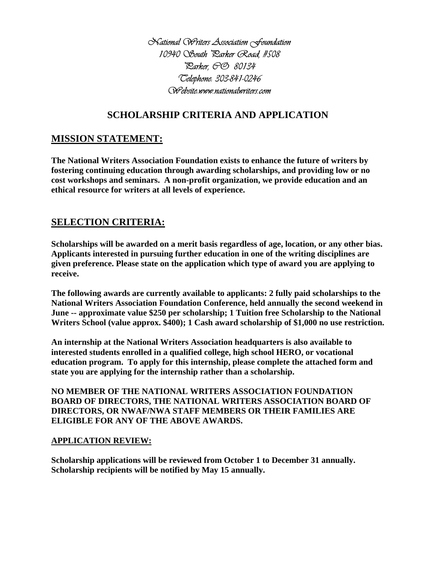*National Writers Association Foundation* 10940 South Parker Road, #508 *Parker, CO 80134 Telephone: 303-841-0246 Website:www.nationalwriters.com*

# **SCHOLARSHIP CRITERIA AND APPLICATION**

### **MISSION STATEMENT:**

**The National Writers Association Foundation exists to enhance the future of writers by fostering continuing education through awarding scholarships, and providing low or no cost workshops and seminars. A non-profit organization, we provide education and an ethical resource for writers at all levels of experience.**

## **SELECTION CRITERIA:**

**Scholarships will be awarded on a merit basis regardless of age, location, or any other bias. Applicants interested in pursuing further education in one of the writing disciplines are given preference. Please state on the application which type of award you are applying to receive.**

**The following awards are currently available to applicants: 2 fully paid scholarships to the National Writers Association Foundation Conference, held annually the second weekend in June -- approximate value \$250 per scholarship; 1 Tuition free Scholarship to the National Writers School (value approx. \$400); 1 Cash award scholarship of \$1,000 no use restriction.**

**An internship at the National Writers Association headquarters is also available to interested students enrolled in a qualified college, high school HERO, or vocational education program. To apply for this internship, please complete the attached form and state you are applying for the internship rather than a scholarship.**

**NO MEMBER OF THE NATIONAL WRITERS ASSOCIATION FOUNDATION BOARD OF DIRECTORS, THE NATIONAL WRITERS ASSOCIATION BOARD OF DIRECTORS, OR NWAF/NWA STAFF MEMBERS OR THEIR FAMILIES ARE ELIGIBLE FOR ANY OF THE ABOVE AWARDS.**

#### **APPLICATION REVIEW:**

**Scholarship applications will be reviewed from October 1 to December 31 annually. Scholarship recipients will be notified by May 15 annually.**